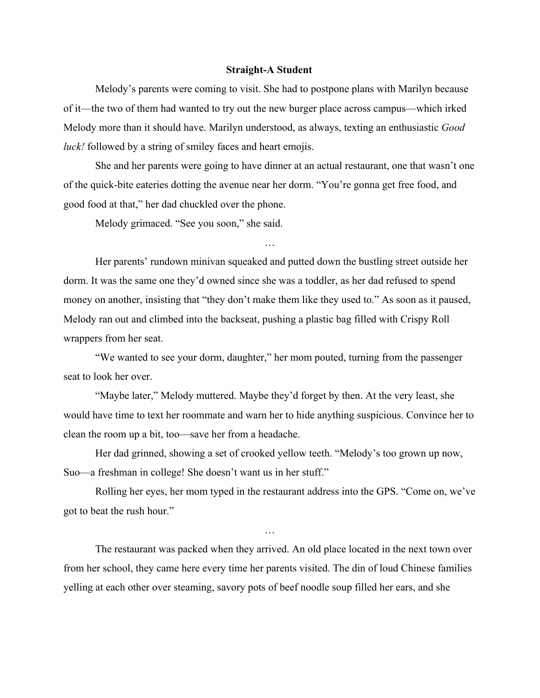## **Straight-A Student**

Melody's parents were coming to visit. She had to postpone plans with Marilyn because of it—the two of them had wanted to try out the new burger place across campus—which irked Melody more than it should have. Marilyn understood, as always, texting an enthusiastic *Good luck!* followed by a string of smiley faces and heart emojis.

She and her parents were going to have dinner at an actual restaurant, one that wasn't one of the quick-bite eateries dotting the avenue near her dorm. "You're gonna get free food, and good food at that," her dad chuckled over the phone.

Melody grimaced. "See you soon," she said.

Her parents' rundown minivan squeaked and putted down the bustling street outside her dorm. It was the same one they'd owned since she was a toddler, as her dad refused to spend money on another, insisting that "they don't make them like they used to." As soon as it paused, Melody ran out and climbed into the backseat, pushing a plastic bag filled with Crispy Roll wrappers from her seat.

"We wanted to see your dorm, daughter," her mom pouted, turning from the passenger seat to look her over.

"Maybe later," Melody muttered. Maybe they'd forget by then. At the very least, she would have time to text her roommate and warn her to hide anything suspicious. Convince her to clean the room up a bit, too—save her from a headache.

Her dad grinned, showing a set of crooked yellow teeth. "Melody's too grown up now, Suo—a freshman in college! She doesn't want us in her stuff."

Rolling her eyes, her mom typed in the restaurant address into the GPS. "Come on, we've got to beat the rush hour."

…

The restaurant was packed when they arrived. An old place located in the next town over from her school, they came here every time her parents visited. The din of loud Chinese families yelling at each other over steaming, savory pots of beef noodle soup filled her ears, and she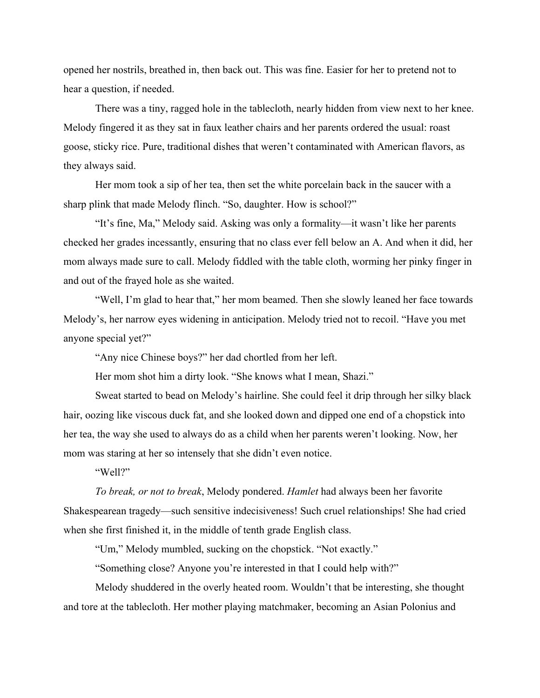opened her nostrils, breathed in, then back out. This was fine. Easier for her to pretend not to hear a question, if needed.

There was a tiny, ragged hole in the tablecloth, nearly hidden from view next to her knee. Melody fingered it as they sat in faux leather chairs and her parents ordered the usual: roast goose, sticky rice. Pure, traditional dishes that weren't contaminated with American flavors, as they always said.

Her mom took a sip of her tea, then set the white porcelain back in the saucer with a sharp plink that made Melody flinch. "So, daughter. How is school?"

"It's fine, Ma," Melody said. Asking was only a formality—it wasn't like her parents checked her grades incessantly, ensuring that no class ever fell below an A. And when it did, her mom always made sure to call. Melody fiddled with the table cloth, worming her pinky finger in and out of the frayed hole as she waited.

"Well, I'm glad to hear that," her mom beamed. Then she slowly leaned her face towards Melody's, her narrow eyes widening in anticipation. Melody tried not to recoil. "Have you met anyone special yet?"

"Any nice Chinese boys?" her dad chortled from her left.

Her mom shot him a dirty look. "She knows what I mean, Shazi."

Sweat started to bead on Melody's hairline. She could feel it drip through her silky black hair, oozing like viscous duck fat, and she looked down and dipped one end of a chopstick into her tea, the way she used to always do as a child when her parents weren't looking. Now, her mom was staring at her so intensely that she didn't even notice.

"Well?"

*To break, or not to break*, Melody pondered. *Hamlet* had always been her favorite Shakespearean tragedy—such sensitive indecisiveness! Such cruel relationships! She had cried when she first finished it, in the middle of tenth grade English class.

"Um," Melody mumbled, sucking on the chopstick. "Not exactly."

"Something close? Anyone you're interested in that I could help with?"

Melody shuddered in the overly heated room. Wouldn't that be interesting, she thought and tore at the tablecloth. Her mother playing matchmaker, becoming an Asian Polonius and